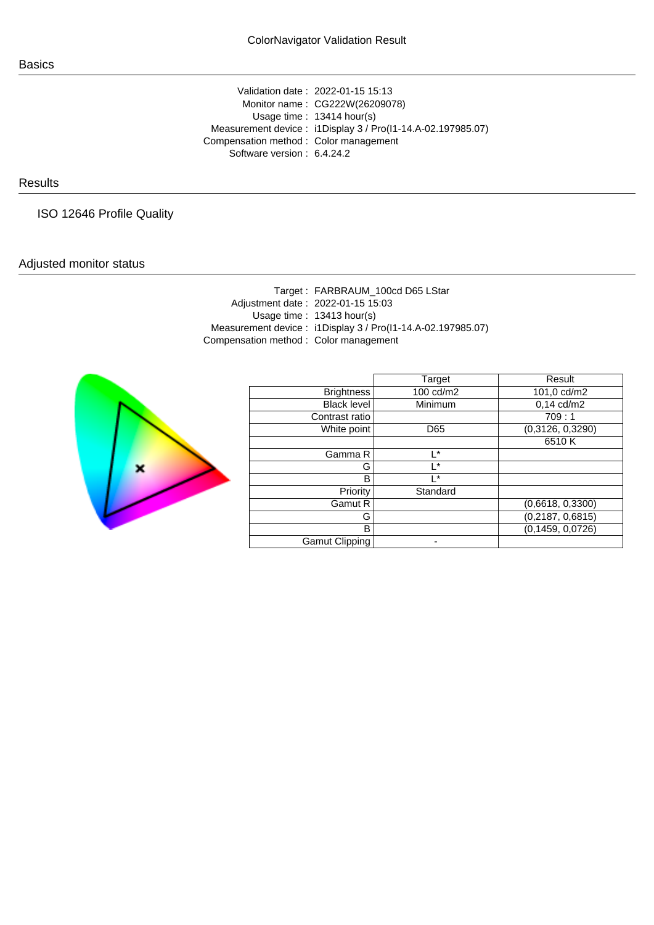Validation date : 2022-01-15 15:13 Monitor name : CG222W(26209078) Usage time : 13414 hour(s) Measurement device : i1Display 3 / Pro(I1-14.A-02.197985.07) Compensation method : Color management Software version : 6.4.24.2

## **Results**

ISO 12646 Profile Quality

## Adjusted monitor status

Target : FARBRAUM\_100cd D65 LStar Adjustment date : 2022-01-15 15:03 Usage time : 13413 hour(s) Measurement device : i1Display 3 / Pro(I1-14.A-02.197985.07) Compensation method : Color management



|                       | Target    | Result             |
|-----------------------|-----------|--------------------|
| <b>Brightness</b>     | 100 cd/m2 | 101,0 cd/m2        |
| <b>Black level</b>    | Minimum   | $0,14$ cd/m2       |
| Contrast ratio        |           | 709:1              |
| White point           | D65       | (0,3126, 0,3290)   |
|                       |           | 6510K              |
| Gamma R               | l *       |                    |
| G                     | l*        |                    |
| В                     | ı∗        |                    |
| Priority              | Standard  |                    |
| Gamut R               |           | (0,6618, 0,3300)   |
| G                     |           | (0, 2187, 0, 6815) |
| B                     |           | (0, 1459, 0, 0726) |
| <b>Gamut Clipping</b> |           |                    |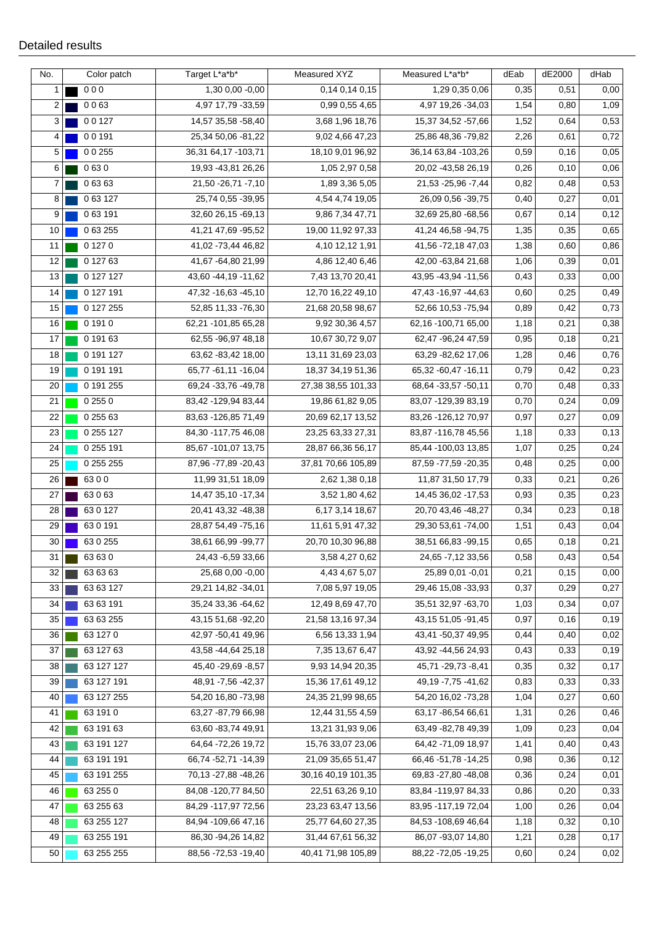| No.            | Color patch | Target L*a*b*         | Measured XYZ       | Measured L*a*b*        | dEab | dE2000 | dHab |
|----------------|-------------|-----------------------|--------------------|------------------------|------|--------|------|
| $\mathbf{1}$   | 000         | 1,30 0,00 -0,00       | 0,14 0,14 0,15     | 1,29 0,35 0,06         | 0,35 | 0,51   | 0,00 |
| $\overline{2}$ | 0063        | 4,97 17,79 - 33,59    | 0,99 0,55 4,65     | 4,97 19,26 - 34,03     | 1,54 | 0,80   | 1,09 |
| 3 <sup>1</sup> | 00127       | 14,57 35,58 -58,40    | 3,68 1,96 18,76    | 15,37 34,52 -57,66     | 1,52 | 0,64   | 0,53 |
| 4              | 00191       | 25,34 50,06 -81,22    | 9,02 4,66 47,23    | 25,86 48,36 -79,82     | 2,26 | 0,61   | 0,72 |
| 5              | 0 0 255     | 36,31 64,17 -103,71   | 18,10 9,01 96,92   | 36,14 63,84 - 103,26   | 0,59 | 0,16   | 0,05 |
| 6              | 0630        | 19,93 - 43,81 26,26   | 1,05 2,97 0,58     | 20,02 -43,58 26,19     | 0,26 | 0,10   | 0,06 |
| $\overline{7}$ | 06363       | 21,50 - 26,71 - 7,10  | 1,89 3,36 5,05     | 21,53 - 25,96 - 7,44   | 0,82 | 0,48   | 0,53 |
| 8              | 063127      | 25,74 0,55 - 39,95    | 4,54 4,74 19,05    | 26,09 0,56 - 39,75     | 0,40 | 0,27   | 0,01 |
| 9              | 063191      | 32,60 26,15 - 69,13   | 9,86 7,34 47,71    | 32,69 25,80 -68,56     | 0,67 | 0,14   | 0,12 |
| 10             | 0 63 255    | 41,21 47,69 - 95,52   | 19,00 11,92 97,33  | 41,24 46,58 -94,75     | 1,35 | 0,35   | 0,65 |
| 11             | 0 1 2 7 0   | 41,02 -73,44 46,82    | 4,10 12,12 1,91    | 41,56 -72,18 47,03     | 1,38 | 0,60   | 0,86 |
| 12             | 0 127 63    | 41,67 - 64,80 21,99   | 4,86 12,40 6,46    | 42,00 -63,84 21,68     | 1,06 | 0,39   | 0,01 |
| 13             | 0 127 127   | 43,60 - 44,19 - 11,62 | 7,43 13,70 20,41   | 43,95 - 43,94 - 11,56  | 0,43 | 0,33   | 0,00 |
| 14             | 0 127 191   | 47,32 -16,63 -45,10   | 12,70 16,22 49,10  | 47,43 - 16,97 - 44,63  | 0,60 | 0,25   | 0,49 |
| 15             | 0 127 255   | 52,85 11,33 -76,30    | 21,68 20,58 98,67  | 52,66 10,53 - 75,94    | 0,89 | 0,42   | 0,73 |
| 16             | 0 1 9 1 0   | 62,21 -101,85 65,28   | 9,92 30,36 4,57    | 62,16 -100,71 65,00    | 1,18 | 0,21   | 0,38 |
| 17             | 0 191 63    | 62,55 - 96,97 48,18   | 10,67 30,72 9,07   | 62,47 - 96,24 47,59    | 0,95 | 0,18   | 0,21 |
| 18             | 0 191 127   | 63,62 - 83,42 18,00   | 13,11 31,69 23,03  | 63,29 - 82,62 17,06    | 1,28 | 0,46   | 0,76 |
| 19             | 0 191 191   | 65,77 - 61,11 - 16,04 | 18,37 34,19 51,36  | 65,32 -60,47 -16,11    | 0,79 | 0,42   | 0,23 |
| 20             | 0 191 255   | 69,24 - 33,76 - 49,78 | 27,38 38,55 101,33 | 68,64 - 33,57 - 50,11  | 0,70 | 0,48   | 0,33 |
| 21             | 0 255 0     | 83,42 -129,94 83,44   | 19,86 61,82 9,05   | 83,07 -129,39 83,19    | 0,70 | 0,24   | 0,09 |
| 22             | 0 255 63    | 83,63 -126,85 71,49   | 20,69 62,17 13,52  | 83,26 -126,12 70,97    | 0,97 | 0,27   | 0,09 |
| 23             | 0 255 127   | 84,30 -117,75 46,08   | 23,25 63,33 27,31  | 83,87 - 116,78 45,56   | 1,18 | 0,33   | 0,13 |
| 24             | 0 255 191   | 85,67 -101,07 13,75   | 28,87 66,36 56,17  | 85,44 -100,03 13,85    | 1,07 | 0,25   | 0,24 |
| 25             | 0 255 255   | 87,96 - 77,89 - 20,43 | 37,81 70,66 105,89 | 87,59 - 77,59 - 20,35  | 0,48 | 0,25   | 0,00 |
| 26             | 6300        | 11,99 31,51 18,09     | 2,62 1,38 0,18     | 11,87 31,50 17,79      | 0,33 | 0,21   | 0,26 |
| 27             | 63063       | 14,47 35,10 - 17,34   | 3,52 1,80 4,62     | 14,45 36,02 - 17,53    | 0,93 | 0,35   | 0,23 |
| 28             | 630127      | 20,41 43,32 - 48,38   | 6,17 3,14 18,67    | 20,70 43,46 -48,27     | 0,34 | 0,23   | 0,18 |
| 29             | 630191      | 28,87 54,49 -75,16    | 11,61 5,91 47,32   | 29,30 53,61 -74,00     | 1,51 | 0,43   | 0,04 |
| 30             | 63 0 255    | 38,61 66,99 -99,77    | 20,70 10,30 96,88  | 38,51 66,83 - 99,15    | 0,65 | 0,18   | 0,21 |
| $31$           | 63 63 0     | 24,43 -6,59 33,66     | 3,58 4,27 0,62     | 24,65 - 7,12 33,56     | 0,58 | 0,43   | 0,54 |
| 32             | 63 63 63    | 25,68 0,00 -0,00      | 4,43 4,67 5,07     | 25,89 0,01 -0,01       | 0,21 | 0,15   | 0,00 |
| 33             | 63 63 127   | 29,21 14,82 - 34,01   | 7,08 5,97 19,05    | 29,46 15,08 - 33,93    | 0,37 | 0,29   | 0,27 |
| 34             | 63 63 191   | 35,24 33,36 -64,62    | 12,49 8,69 47,70   | 35,51 32,97 -63,70     | 1,03 | 0,34   | 0,07 |
| 35             | 63 63 255   | 43,15 51,68 - 92,20   | 21,58 13,16 97,34  | 43, 15 51, 05 - 91, 45 | 0,97 | 0,16   | 0,19 |
| 36             | 63 127 0    | 42,97 -50,41 49,96    | 6,56 13,33 1,94    | 43,41 -50,37 49,95     | 0,44 | 0,40   | 0,02 |
| 37             | 63 127 63   | 43,58 - 44,64 25,18   | 7,35 13,67 6,47    | 43,92 - 44,56 24,93    | 0,43 | 0,33   | 0,19 |
| 38             | 63 127 127  | 45,40 - 29,69 - 8,57  | 9,93 14,94 20,35   | 45,71 - 29,73 - 8,41   | 0,35 | 0,32   | 0,17 |
| 39             | 63 127 191  | 48,91 - 7,56 - 42,37  | 15,36 17,61 49,12  | 49,19 - 7,75 - 41,62   | 0,83 | 0,33   | 0,33 |
| 40             | 63 127 255  | 54,20 16,80 -73,98    | 24,35 21,99 98,65  | 54,20 16,02 -73,28     | 1,04 | 0,27   | 0,60 |
| 41             | 63 191 0    | 63,27 - 87,79 66,98   | 12,44 31,55 4,59   | 63,17 - 86,54 66,61    | 1,31 | 0,26   | 0,46 |
| 42             | 63 191 63   | 63,60 - 83,74 49,91   | 13,21 31,93 9,06   | 63,49 - 82,78 49,39    | 1,09 | 0,23   | 0,04 |
| 43             | 63 191 127  | 64,64 - 72,26 19,72   | 15,76 33,07 23,06  | 64,42 -71,09 18,97     | 1,41 | 0,40   | 0,43 |
| 44             | 63 191 191  | 66,74 - 52,71 - 14,39 | 21,09 35,65 51,47  | 66,46 - 51,78 - 14,25  | 0,98 | 0,36   | 0,12 |
| 45             | 63 191 255  | 70,13 - 27,88 - 48,26 | 30,16 40,19 101,35 | 69,83 - 27,80 - 48,08  | 0,36 | 0,24   | 0,01 |
| 46             | 63 255 0    | 84,08 -120,77 84,50   | 22,51 63,26 9,10   | 83,84 -119,97 84,33    | 0,86 | 0,20   | 0,33 |
| 47             | 63 255 63   | 84,29 - 117,97 72,56  | 23,23 63,47 13,56  | 83,95 - 117,19 72,04   | 1,00 | 0,26   | 0,04 |
| 48             | 63 255 127  | 84,94 -109,66 47,16   | 25,77 64,60 27,35  | 84,53 -108,69 46,64    | 1,18 | 0,32   | 0,10 |
| 49             | 63 255 191  | 86,30 - 94,26 14,82   | 31,44 67,61 56,32  | 86,07 - 93,07 14,80    | 1,21 | 0,28   | 0,17 |
| 50             | 63 255 255  | 88,56 - 72,53 - 19,40 | 40,41 71,98 105,89 | 88,22 - 72,05 - 19,25  | 0,60 | 0,24   | 0,02 |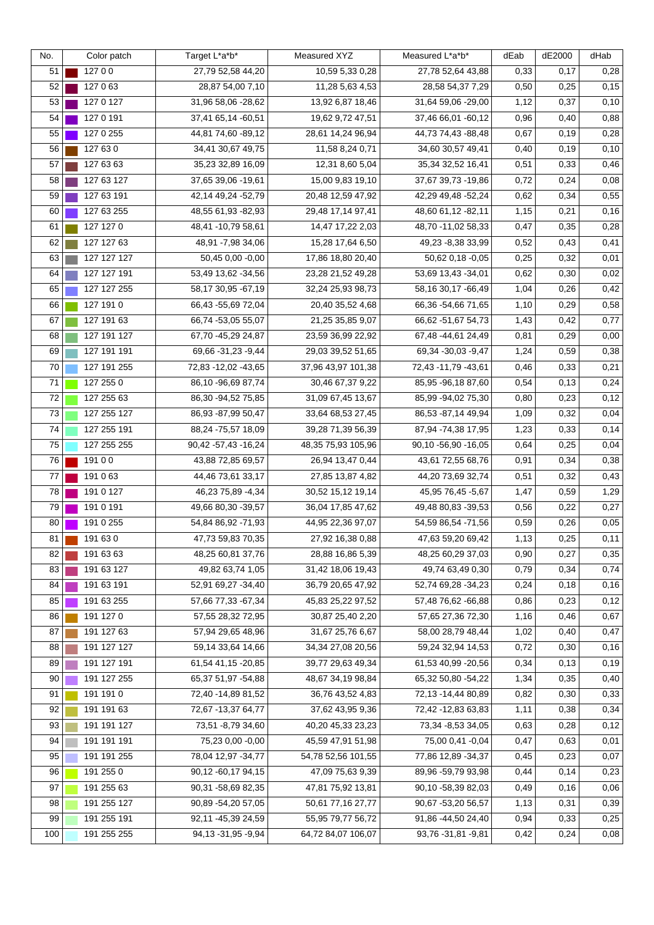| No. | Color patch | Target L*a*b*           | Measured XYZ       | Measured L*a*b*       | dEab | dE2000 | dHab  |
|-----|-------------|-------------------------|--------------------|-----------------------|------|--------|-------|
| 51  | 12700       | 27,79 52,58 44,20       | 10,59 5,33 0,28    | 27,78 52,64 43,88     | 0,33 | 0,17   | 0,28  |
| 52  | 127 0 63    | 28,87 54,00 7,10        | 11,28 5,63 4,53    | 28,58 54,37 7,29      | 0,50 | 0,25   | 0,15  |
| 53  | 127 0 127   | 31,96 58,06 -28,62      | 13,92 6,87 18,46   | 31,64 59,06 -29,00    | 1,12 | 0,37   | 0,10  |
| 54  | 127 0 191   | 37,41 65,14 -60,51      | 19,62 9,72 47,51   | 37,46 66,01 -60,12    | 0,96 | 0,40   | 0,88  |
| 55  | 127 0 255   | 44,81 74,60 - 89,12     | 28,61 14,24 96,94  | 44,73 74,43 -88,48    | 0,67 | 0,19   | 0,28  |
| 56  | 127 63 0    | 34,41 30,67 49,75       | 11,58 8,24 0,71    | 34,60 30,57 49,41     | 0,40 | 0,19   | 0, 10 |
| 57  | 127 63 63   | 35,23 32,89 16,09       | 12,31 8,60 5,04    | 35,34 32,52 16,41     | 0,51 | 0,33   | 0,46  |
| 58  | 127 63 127  | 37,65 39,06 - 19,61     | 15,00 9,83 19,10   | 37,67 39,73 - 19,86   | 0,72 | 0,24   | 0,08  |
| 59  | 127 63 191  | 42,14 49,24 -52,79      | 20,48 12,59 47,92  | 42,29 49,48 -52,24    | 0,62 | 0,34   | 0,55  |
| 60  | 127 63 255  | 48,55 61,93 -82,93      | 29,48 17,14 97,41  | 48,60 61,12 - 82,11   | 1,15 | 0,21   | 0,16  |
| 61  | 127 127 0   | 48,41 - 10,79 58,61     | 14,47 17,22 2,03   | 48,70 - 11,02 58,33   | 0,47 | 0,35   | 0,28  |
| 62  | 127 127 63  | 48,91 - 7,98 34,06      | 15,28 17,64 6,50   | 49,23 - 8,38 33,99    | 0,52 | 0,43   | 0,41  |
| 63  | 127 127 127 | 50,45 0,00 -0,00        | 17,86 18,80 20,40  | 50,62 0,18 -0,05      | 0,25 | 0,32   | 0,01  |
| 64  | 127 127 191 | 53,49 13,62 - 34,56     | 23,28 21,52 49,28  | 53,69 13,43 - 34,01   | 0,62 | 0,30   | 0,02  |
| 65  | 127 127 255 | 58,17 30,95 - 67,19     | 32,24 25,93 98,73  | 58,16 30,17 -66,49    | 1,04 | 0,26   | 0,42  |
| 66  | 127 191 0   | 66,43 -55,69 72,04      | 20,40 35,52 4,68   | 66,36 -54,66 71,65    | 1,10 | 0,29   | 0,58  |
| 67  | 127 191 63  | 66,74 -53,05 55,07      | 21,25 35,85 9,07   | 66,62 - 51,67 54,73   | 1,43 | 0,42   | 0,77  |
| 68  | 127 191 127 | 67,70 - 45,29 24,87     | 23,59 36,99 22,92  | 67,48 -44,61 24,49    | 0,81 | 0,29   | 0,00  |
| 69  | 127 191 191 | 69,66 - 31,23 - 9,44    | 29,03 39,52 51,65  | 69,34 - 30,03 - 9,47  | 1,24 | 0,59   | 0,38  |
| 70  | 127 191 255 | 72,83 - 12,02 - 43,65   | 37,96 43,97 101,38 | 72,43 -11,79 -43,61   | 0,46 | 0,33   | 0,21  |
| 71  | 127 255 0   | 86,10 - 96,69 87,74     | 30,46 67,37 9,22   | 85,95 - 96,18 87,60   | 0,54 | 0,13   | 0,24  |
| 72  | 127 255 63  | 86,30 - 94,52 75,85     | 31,09 67,45 13,67  | 85,99 - 94,02 75,30   | 0,80 | 0,23   | 0,12  |
| 73  | 127 255 127 | 86,93 - 87,99 50,47     | 33,64 68,53 27,45  | 86,53 - 87,14 49,94   | 1,09 | 0,32   | 0,04  |
| 74  | 127 255 191 | 88,24 -75,57 18,09      | 39,28 71,39 56,39  | 87,94 -74,38 17,95    | 1,23 | 0,33   | 0,14  |
| 75  | 127 255 255 | 90,42 -57,43 -16,24     | 48,35 75,93 105,96 | 90,10 - 56,90 - 16,05 | 0,64 | 0,25   | 0,04  |
| 76  | 19100       | 43,88 72,85 69,57       | 26,94 13,47 0,44   | 43,61 72,55 68,76     | 0,91 | 0,34   | 0,38  |
| 77  | 191 0 63    | 44,46 73,61 33,17       | 27,85 13,87 4,82   | 44,20 73,69 32,74     | 0,51 | 0,32   | 0,43  |
| 78  | 191 0 127   | 46,23 75,89 - 4,34      | 30,52 15,12 19,14  | 45,95 76,45 -5,67     | 1,47 | 0,59   | 1,29  |
| 79  | 191 0 191   | 49,66 80,30 - 39,57     | 36,04 17,85 47,62  | 49,48 80,83 - 39,53   | 0,56 | 0,22   | 0,27  |
| 80  | 191 0 255   | 54,84 86,92 -71,93      | 44,95 22,36 97,07  | 54,59 86,54 -71,56    | 0,59 | 0,26   | 0,05  |
| 81  | 191 63 0    | 47,73 59,83 70,35       | 27,92 16,38 0,88   | 47,63 59,20 69,42     | 1,13 | 0,25   | 0,11  |
| 82  | 191 63 63   | 48,25 60,81 37,76       | 28,88 16,86 5,39   | 48,25 60,29 37,03     | 0,90 | 0,27   | 0,35  |
| 83  | 191 63 127  | 49,82 63,74 1,05        | 31,42 18,06 19,43  | 49,74 63,49 0,30      | 0,79 | 0,34   | 0,74  |
| 84  | 191 63 191  | 52,91 69,27 - 34,40     | 36,79 20,65 47,92  | 52,74 69,28 -34,23    | 0,24 | 0,18   | 0,16  |
| 85  | 191 63 255  | 57,66 77,33 - 67,34     | 45,83 25,22 97,52  | 57,48 76,62 -66,88    | 0,86 | 0,23   | 0,12  |
| 86  | 191 127 0   | 57,55 28,32 72,95       | 30,87 25,40 2,20   | 57,65 27,36 72,30     | 1,16 | 0,46   | 0,67  |
| 87  | 191 127 63  | 57,94 29,65 48,96       | 31,67 25,76 6,67   | 58,00 28,79 48,44     | 1,02 | 0,40   | 0,47  |
| 88  | 191 127 127 | 59,14 33,64 14,66       | 34,34 27,08 20,56  | 59,24 32,94 14,53     | 0,72 | 0,30   | 0,16  |
| 89  | 191 127 191 | 61,54 41,15 -20,85      | 39,77 29,63 49,34  | 61,53 40,99 -20,56    | 0,34 | 0,13   | 0, 19 |
| 90  | 191 127 255 | 65,37 51,97 -54,88      | 48,67 34,19 98,84  | 65,32 50,80 -54,22    | 1,34 | 0,35   | 0,40  |
| 91  | 191 191 0   | 72,40 - 14,89 81,52     | 36,76 43,52 4,83   | 72,13 -14,44 80,89    | 0,82 | 0,30   | 0,33  |
| 92  | 191 191 63  | 72,67 - 13,37 64,77     | 37,62 43,95 9,36   | 72,42 - 12,83 63,83   | 1,11 | 0,38   | 0,34  |
| 93  | 191 191 127 | 73,51 - 8,79 34,60      | 40,20 45,33 23,23  | 73,34 - 8,53 34,05    | 0,63 | 0,28   | 0,12  |
| 94  | 191 191 191 | 75,23 0,00 -0,00        | 45,59 47,91 51,98  | 75,00 0,41 -0,04      | 0,47 | 0,63   | 0,01  |
| 95  | 191 191 255 | 78,04 12,97 - 34,77     | 54,78 52,56 101,55 | 77,86 12,89 - 34,37   | 0,45 | 0,23   | 0,07  |
| 96  | 191 255 0   | 90,12 -60,17 94,15      | 47,09 75,63 9,39   | 89,96 -59,79 93,98    | 0,44 | 0,14   | 0,23  |
| 97  | 191 255 63  | 90,31 -58,69 82,35      | 47,81 75,92 13,81  | 90,10 -58,39 82,03    | 0,49 | 0, 16  | 0,06  |
| 98  | 191 255 127 | 90,89 - 54,20 57,05     | 50,61 77,16 27,77  | 90,67 - 53,20 56,57   | 1,13 | 0,31   | 0,39  |
| 99  | 191 255 191 | 92, 11 - 45, 39 24, 59  | 55,95 79,77 56,72  | 91,86 -44,50 24,40    | 0,94 | 0,33   | 0,25  |
| 100 | 191 255 255 | 94, 13 - 31, 95 - 9, 94 | 64,72 84,07 106,07 | 93,76 - 31,81 - 9,81  | 0,42 | 0,24   | 0,08  |